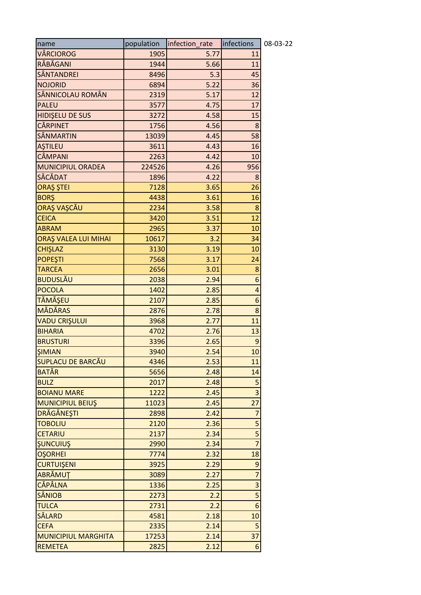| name                       | population | infection_rate | infections     | 08-03-22 |
|----------------------------|------------|----------------|----------------|----------|
| VÂRCIOROG                  | 1905       | 5.77           | 11             |          |
| RĂBĂGANI                   | 1944       | 5.66           | 11             |          |
| SÂNTANDREI                 | 8496       | 5.3            | 45             |          |
| <b>NOJORID</b>             | 6894       | 5.22           | 36             |          |
| SÂNNICOLAU ROMÂN           | 2319       | 5.17           | 12             |          |
| <b>PALEU</b>               | 3577       | 4.75           | 17             |          |
| HIDIŞELU DE SUS            | 3272       | 4.58           | 15             |          |
| <b>CĂRPINET</b>            | 1756       | 4.56           | 8              |          |
| <b>SÂNMARTIN</b>           | 13039      | 4.45           | 58             |          |
| <b>AŞTILEU</b>             | 3611       | 4.43           | 16             |          |
| <b>CÂMPANI</b>             | 2263       | 4.42           | 10             |          |
| MUNICIPIUL ORADEA          | 224526     | 4.26           | 956            |          |
| SĂCĂDAT                    | 1896       | 4.22           | 8              |          |
| ORAȘ ȘTEI                  | 7128       | 3.65           | 26             |          |
| <b>BORŞ</b>                | 4438       | 3.61           | 16             |          |
| ORAŞ VAŞCĂU                | 2234       | 3.58           | 8              |          |
| <b>CEICA</b>               | 3420       | 3.51           | 12             |          |
| <b>ABRAM</b>               | 2965       | 3.37           | 10             |          |
| ORAȘ VALEA LUI MIHAI       | 10617      | 3.2            | 34             |          |
| <b>CHIŞLAZ</b>             | 3130       | 3.19           | 10             |          |
| <b>POPEŞTI</b>             | 7568       | 3.17           | 24             |          |
| <b>TARCEA</b>              | 2656       | 3.01           | 8              |          |
| <b>BUDUSLĂU</b>            | 2038       | 2.94           | 6              |          |
| <b>POCOLA</b>              | 1402       | 2.85           | 4              |          |
| TĂMĂŞEU                    | 2107       | 2.85           | 6              |          |
| <b>MĂDĂRAS</b>             | 2876       | 2.78           | 8              |          |
| <b>VADU CRIȘULUI</b>       | 3968       | 2.77           | 11             |          |
| <b>BIHARIA</b>             | 4702       | 2.76           | 13             |          |
| <b>BRUSTURI</b>            | 3396       | 2.65           | 9              |          |
| <b>SIMIAN</b>              | 3940       | 2.54           | 10             |          |
| SUPLACU DE BARCĂU          | 4346       | 2.53           | 11             |          |
| <b>BATĂR</b>               | 5656       | 2.48           | 14             |          |
| <b>BULZ</b>                | 2017       | 2.48           | 5              |          |
| <b>BOIANU MARE</b>         | 1222       | 2.45           | $\overline{3}$ |          |
| MUNICIPIUL BEIUŞ           | 11023      | 2.45           | 27             |          |
| <b>DRĂGĂNEȘTI</b>          | 2898       | 2.42           | 7              |          |
| <b>TOBOLIU</b>             | 2120       | 2.36           | 5              |          |
| <b>CETARIU</b>             | 2137       | 2.34           | 5              |          |
| <b>SUNCUIUS</b>            | 2990       | 2.34           | $\overline{7}$ |          |
| <b>OŞORHEI</b>             | 7774       | 2.32           | 18             |          |
| <b>CURTUIŞENI</b>          | 3925       | 2.29           | 9              |          |
| ABRĂMUȚ                    | 3089       | 2.27           | $\overline{7}$ |          |
| <b>CĂPÂLNA</b>             | 1336       | 2.25           | $\overline{3}$ |          |
| <b>SÂNIOB</b>              | 2273       | 2.2            | 5              |          |
| <b>TULCA</b>               | 2731       | 2.2            | 6              |          |
| <b>SĂLARD</b>              | 4581       | 2.18           | 10             |          |
| <b>CEFA</b>                | 2335       | 2.14           | 5              |          |
| <b>MUNICIPIUL MARGHITA</b> | 17253      | 2.14           | 37             |          |
| <b>REMETEA</b>             | 2825       | 2.12           | 6              |          |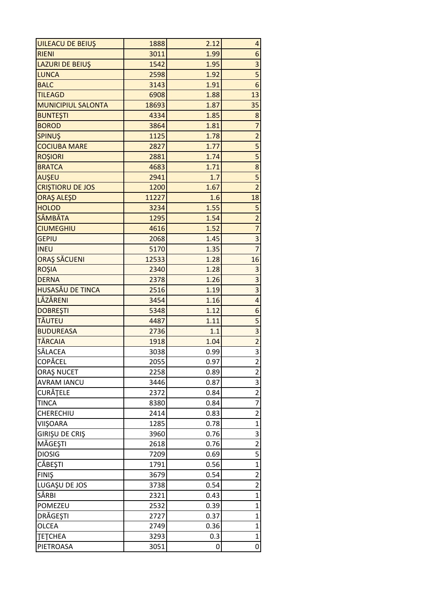| <b>UILEACU DE BEIUŞ</b>   | 1888  | 2.12 | $\vert 4 \vert$         |
|---------------------------|-------|------|-------------------------|
| <b>RIENI</b>              | 3011  | 1.99 | 6 <sup>1</sup>          |
| <b>LAZURI DE BEIUŞ</b>    | 1542  | 1.95 | 3                       |
| <b>LUNCA</b>              | 2598  | 1.92 |                         |
| <b>BALC</b>               | 3143  | 1.91 | 6 <sup>1</sup>          |
| <b>TILEAGD</b>            | 6908  | 1.88 | 13                      |
| <b>MUNICIPIUL SALONTA</b> | 18693 | 1.87 | 35                      |
| <b>BUNTEŞTI</b>           | 4334  | 1.85 | 8                       |
| <b>BOROD</b>              | 3864  | 1.81 | $\overline{7}$          |
| <b>SPINUS</b>             | 1125  | 1.78 | $\overline{c}$          |
| <b>COCIUBA MARE</b>       | 2827  | 1.77 | $\mathsf{S}$            |
| <b>ROŞIORI</b>            | 2881  | 1.74 | $\overline{5}$          |
| <b>BRATCA</b>             | 4683  | 1.71 | 8                       |
| <b>AUŞEU</b>              | 2941  | 1.7  | 5                       |
| <b>CRISTIORU DE JOS</b>   | 1200  | 1.67 | $\overline{2}$          |
| <b>ORAŞ ALEŞD</b>         | 11227 | 1.6  | 18                      |
| <b>HOLOD</b>              | 3234  | 1.55 | $\mathsf{S}$            |
| <b>SÂMBĂTA</b>            | 1295  | 1.54 | $\overline{c}$          |
| <b>CIUMEGHIU</b>          | 4616  | 1.52 | $\overline{7}$          |
| <b>GEPIU</b>              | 2068  | 1.45 | $\overline{\mathbf{3}}$ |
| <b>INEU</b>               | 5170  | 1.35 | $\overline{7}$          |
| ORAȘ SĂCUENI              | 12533 | 1.28 | 16                      |
| <b>ROŞIA</b>              | 2340  | 1.28 | 3                       |
| <b>DERNA</b>              | 2378  | 1.26 | 3                       |
| HUSASĂU DE TINCA          | 2516  | 1.19 | 3                       |
| LĂZĂRENI                  | 3454  | 1.16 | $\overline{\mathbf{r}}$ |
| <b>DOBREȘTI</b>           | 5348  | 1.12 | $\overline{6}$          |
| <b>TĂUTEU</b>             | 4487  | 1.11 | $\overline{\mathbf{5}}$ |
| <b>BUDUREASA</b>          | 2736  | 1.1  | $\overline{3}$          |
| <b>TĂRCAIA</b>            | 1918  | 1.04 | $\overline{a}$          |
| SĂLACEA                   | 3038  | 0.99 | 3                       |
| <b>COPĂCEL</b>            | 2055  | 0.97 | $\overline{\mathbf{c}}$ |
| <b>ORAȘ NUCET</b>         | 2258  | 0.89 | $\overline{\mathbf{c}}$ |
| <b>AVRAM IANCU</b>        | 3446  | 0.87 | $\overline{3}$          |
| CURĂȚELE                  | 2372  | 0.84 | $\overline{c}$          |
| <b>TINCA</b>              | 8380  | 0.84 | $\overline{7}$          |
| CHERECHIU                 | 2414  | 0.83 | $\overline{2}$          |
| <b>VIIŞOARA</b>           | 1285  | 0.78 | $\overline{1}$          |
| GIRIŞU DE CRIŞ            | 3960  | 0.76 | 3                       |
| MĂGEȘTI                   | 2618  | 0.76 | $\overline{c}$          |
| <b>DIOSIG</b>             | 7209  | 0.69 | 5                       |
| <b>CĂBEȘTI</b>            | 1791  | 0.56 | $\mathbf{1}$            |
| <b>FINIŞ</b>              | 3679  | 0.54 | $\overline{\mathbf{c}}$ |
| LUGAȘU DE JOS             | 3738  | 0.54 | $\overline{c}$          |
| SÂRBI                     | 2321  | 0.43 | $\mathbf{1}$            |
| POMEZEU                   | 2532  | 0.39 | $\mathbf{1}$            |
| DRĂGEȘTI                  | 2727  | 0.37 | $\mathbf{1}$            |
| <b>OLCEA</b>              | 2749  | 0.36 | $\mathbf{1}$            |
| <b>TETCHEA</b>            | 3293  | 0.3  | $\mathbf{1}$            |
| PIETROASA                 | 3051  | 0    | $\sigma$                |